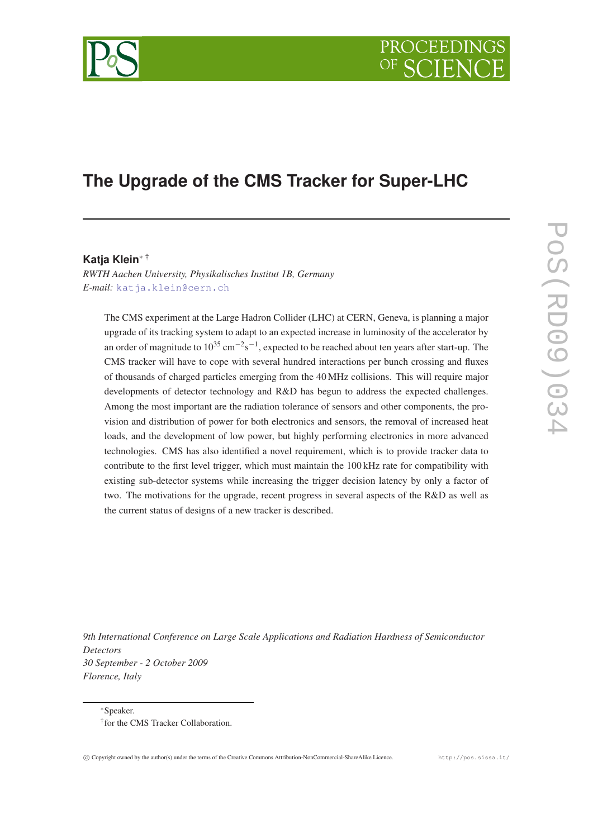# PROCEEDIN

## **The Upgrade of the CMS Tracker for Super-LHC**

#### **Katja Klein**<sup>∗</sup> †

*RWTH Aachen University, Physikalisches Institut 1B, Germany E-mail:* [katja.klein@cern.ch](mailto:katja.klein@cern.ch)

The CMS experiment at the Large Hadron Collider (LHC) at CERN, Geneva, is planning a major upgrade of its tracking system to adapt to an expected increase in luminosity of the accelerator by an order of magnitude to  $10^{35}$  cm<sup>−2</sup>s<sup>−1</sup>, expected to be reached about ten years after start-up. The CMS tracker will have to cope with several hundred interactions per bunch crossing and fluxes of thousands of charged particles emerging from the 40 MHz collisions. This will require major developments of detector technology and R&D has begun to address the expected challenges. Among the most important are the radiation tolerance of sensors and other components, the provision and distribution of power for both electronics and sensors, the removal of increased heat loads, and the development of low power, but highly performing electronics in more advanced technologies. CMS has also identified a novel requirement, which is to provide tracker data to contribute to the first level trigger, which must maintain the 100 kHz rate for compatibility with existing sub-detector systems while increasing the trigger decision latency by only a factor of two. The motivations for the upgrade, recent progress in several aspects of the R&D as well as the current status of designs of a new tracker is described.

*9th International Conference on Large Scale Applications and Radiation Hardness of Semiconductor Detectors 30 September - 2 October 2009 Florence, Italy*

<sup>∗</sup>Speaker. † for the CMS Tracker Collaboration.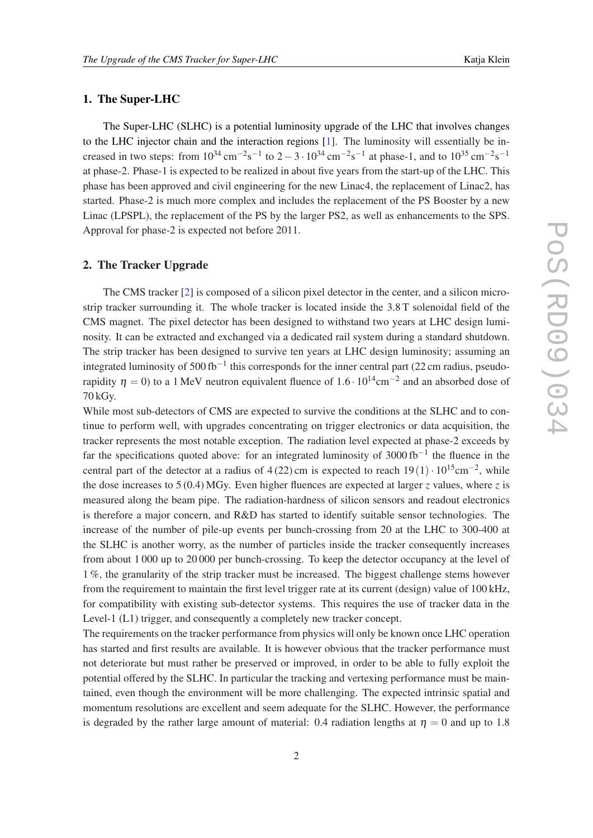#### 1. The Super-LHC

The Super-LHC (SLHC) is a potential luminosity upgrade of the LHC that involves changes to the LHC injector chain and the interaction regions [\[1\]](#page-7-0). The luminosity will essentially be increased in two steps: from  $10^{34} \text{ cm}^{-2} \text{s}^{-1}$  to  $2 - 3 \cdot 10^{34} \text{ cm}^{-2} \text{s}^{-1}$  at phase-1, and to  $10^{35} \text{ cm}^{-2} \text{s}^{-1}$ at phase-2. Phase-1 is expected to be realized in about five years from the start-up of the LHC. This phase has been approved and civil engineering for the new Linac4, the replacement of Linac2, has started. Phase-2 is much more complex and includes the replacement of the PS Booster by a new Linac (LPSPL), the replacement of the PS by the larger PS2, as well as enhancements to the SPS. Approval for phase-2 is expected not before 2011.

#### 2. The Tracker Upgrade

The CMS tracker [\[2\]](#page-7-0) is composed of a silicon pixel detector in the center, and a silicon microstrip tracker surrounding it. The whole tracker is located inside the 3.8 T solenoidal field of the CMS magnet. The pixel detector has been designed to withstand two years at LHC design luminosity. It can be extracted and exchanged via a dedicated rail system during a standard shutdown. The strip tracker has been designed to survive ten years at LHC design luminosity; assuming an integrated luminosity of 500 fb<sup>-1</sup> this corresponds for the inner central part (22 cm radius, pseudorapidity  $\eta = 0$ ) to a 1 MeV neutron equivalent fluence of 1.6 ·  $10^{14}$ cm<sup>-2</sup> and an absorbed dose of 70 kGy.

While most sub-detectors of CMS are expected to survive the conditions at the SLHC and to continue to perform well, with upgrades concentrating on trigger electronics or data acquisition, the tracker represents the most notable exception. The radiation level expected at phase-2 exceeds by far the specifications quoted above: for an integrated luminosity of 3000 fb<sup>-1</sup> the fluence in the central part of the detector at a radius of 4 (22) cm is expected to reach  $19(1) \cdot 10^{15}$ cm<sup>-2</sup>, while the dose increases to 5 (0.4) MGy. Even higher fluences are expected at larger *z* values, where *z* is measured along the beam pipe. The radiation-hardness of silicon sensors and readout electronics is therefore a major concern, and R&D has started to identify suitable sensor technologies. The increase of the number of pile-up events per bunch-crossing from 20 at the LHC to 300-400 at the SLHC is another worry, as the number of particles inside the tracker consequently increases from about 1 000 up to 20 000 per bunch-crossing. To keep the detector occupancy at the level of 1 %, the granularity of the strip tracker must be increased. The biggest challenge stems however from the requirement to maintain the first level trigger rate at its current (design) value of 100 kHz, for compatibility with existing sub-detector systems. This requires the use of tracker data in the Level-1 (L1) trigger, and consequently a completely new tracker concept.

The requirements on the tracker performance from physics will only be known once LHC operation has started and first results are available. It is however obvious that the tracker performance must not deteriorate but must rather be preserved or improved, in order to be able to fully exploit the potential offered by the SLHC. In particular the tracking and vertexing performance must be maintained, even though the environment will be more challenging. The expected intrinsic spatial and momentum resolutions are excellent and seem adequate for the SLHC. However, the performance is degraded by the rather large amount of material: 0.4 radiation lengths at  $\eta = 0$  and up to 1.8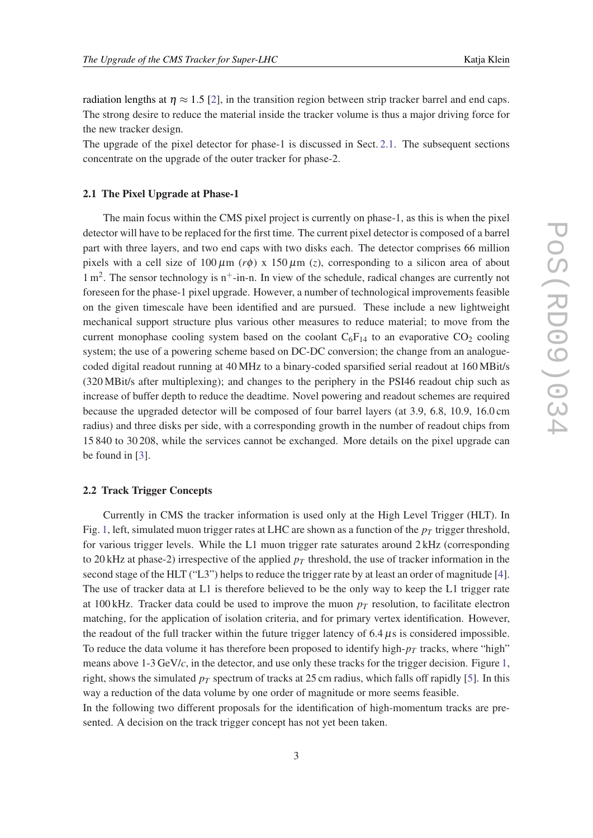radiation lengths at  $\eta \approx 1.5$  [[2](#page-7-0)], in the transition region between strip tracker barrel and end caps. The strong desire to reduce the material inside the tracker volume is thus a major driving force for the new tracker design.

The upgrade of the pixel detector for phase-1 is discussed in Sect. 2.1. The subsequent sections concentrate on the upgrade of the outer tracker for phase-2.

#### 2.1 The Pixel Upgrade at Phase-1

The main focus within the CMS pixel project is currently on phase-1, as this is when the pixel detector will have to be replaced for the first time. The current pixel detector is composed of a barrel part with three layers, and two end caps with two disks each. The detector comprises 66 million pixels with a cell size of  $100 \mu m$  (*r* $\phi$ ) x  $150 \mu m$  (*z*), corresponding to a silicon area of about  $1 \text{ m}^2$ . The sensor technology is  $n^+$ -in-n. In view of the schedule, radical changes are currently not foreseen for the phase-1 pixel upgrade. However, a number of technological improvements feasible on the given timescale have been identified and are pursued. These include a new lightweight mechanical support structure plus various other measures to reduce material; to move from the current monophase cooling system based on the coolant  $C_6F_{14}$  to an evaporative  $CO_2$  cooling system; the use of a powering scheme based on DC-DC conversion; the change from an analoguecoded digital readout running at 40 MHz to a binary-coded sparsified serial readout at 160 MBit/s (320 MBit/s after multiplexing); and changes to the periphery in the PSI46 readout chip such as increase of buffer depth to reduce the deadtime. Novel powering and readout schemes are required because the upgraded detector will be composed of four barrel layers (at 3.9, 6.8, 10.9, 16.0 cm radius) and three disks per side, with a corresponding growth in the number of readout chips from 15 840 to 30 208, while the services cannot be exchanged. More details on the pixel upgrade can be found in [\[3\]](#page-7-0).

#### 2.2 Track Trigger Concepts

Currently in CMS the tracker information is used only at the High Level Trigger (HLT). In Fig. [1,](#page-3-0) left, simulated muon trigger rates at LHC are shown as a function of the  $p_T$  trigger threshold, for various trigger levels. While the L1 muon trigger rate saturates around 2 kHz (corresponding to 20 kHz at phase-2) irrespective of the applied  $p_T$  threshold, the use of tracker information in the second stage of the HLT ("L3") helps to reduce the trigger rate by at least an order of magnitude [\[4\]](#page-7-0). The use of tracker data at L1 is therefore believed to be the only way to keep the L1 trigger rate at 100 kHz. Tracker data could be used to improve the muon  $p<sub>T</sub>$  resolution, to facilitate electron matching, for the application of isolation criteria, and for primary vertex identification. However, the readout of the full tracker within the future trigger latency of  $6.4 \mu s$  is considered impossible. To reduce the data volume it has therefore been proposed to identify high- $p<sub>T</sub>$  tracks, where "high" means above 1-3 GeV/*c*, in the detector, and use only these tracks for the trigger decision. Figure [1](#page-3-0), right, shows the simulated  $p_T$  spectrum of tracks at 25 cm radius, which falls off rapidly [[5\]](#page-7-0). In this way a reduction of the data volume by one order of magnitude or more seems feasible.

In the following two different proposals for the identification of high-momentum tracks are presented. A decision on the track trigger concept has not yet been taken.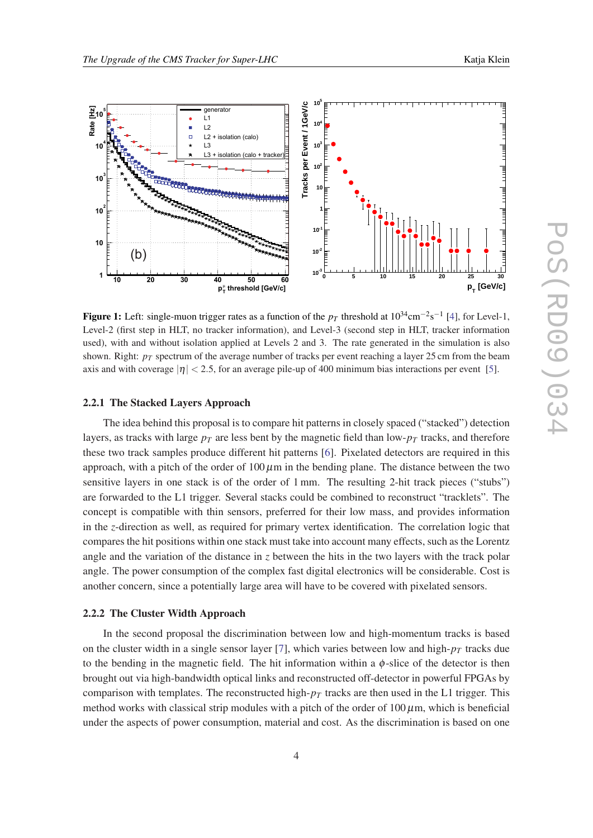<span id="page-3-0"></span>

**Figure 15-20** The HLT single-muon trigger rates as a function of the PT threshold for (a) low luminosity and **Figure 1:** Left: single-muon trigger rates as a function of the  $p_T$  threshold at  $10^{34}$  $10^{34}$  $10^{34}$ cm<sup>-2</sup>s<sup>-1</sup> [4], for Level-1, Level-2 (first step in HLT, no tracker information), and Level-3 (second step in HLT, tracker information used), with and without isolation applied at Levels 2 and 3. The rate generated in the simulation is also shown. Right:  $p_T$  spectrum of the average number of tracks per event reaching a layer 25 cm from the beam axis and with coverage  $|\eta| < 2.5$ , for an average pile-up of 400 minimum bias interactions per event [[5\]](#page-7-0).

### **Rate [Hz]** 2.2.1 The Stacked Layers Approach

another concern, since a potentially large area will have to be covered with pixelated sensors.  $\text{distance}$  in  $\zeta$  bet angle and the variation of the distance in *z* between the hits in the two layers with the track polar **<sup>10</sup>-1** compares the hit positions within one stack must take into account many effects, such as the Lorentz **1** concept is compatible with thin sensors, preferred for their low mass, and provides information sensitive layers in one stack is of the order of 1 mm. The resulting 2-hit track pieces ("stubs") **<sup>10</sup><sup>2</sup>** these two track samples produce different hit patterns [\[6\]](#page-7-0). Pixelated detectors are required in this The idea behind this proposal is to compare hit patterns in closely spaced ("stacked") detection  $\sim$ layers, as tracks with large  $p_T$  are less bent by the magnetic field than low- $p_T$  tracks, and therefore in the *z*-direction as well, as required for primary vertex identification. The correlation logic that approach, with a pitch of the order of  $100 \mu m$  in the bending plane. The distance between the two are forwarded to the L1 trigger. Several stacks could be combined to reconstruct "tracklets". The angle. The power consumption of the complex fast digital electronics will be considerable. Cost is

#### 2.2.2 The Cluster Width Approach

on the cluster width in a single sensor layer [[7](#page-7-0)], which varies between low and high- $p<sub>T</sub>$  tracks due to the bending in the magnetic field. The hit information within a  $\phi$ -slice of the detector is then brought out via high-bandwidth optical links and reconstructed off-detector in powerful FPGAs by comparison with templates. The reconstructed high- $p<sub>T</sub>$  tracks are then used in the L1 trigger. This metho In the second proposal the discrimination between low and high-momentum tracks is based method works with classical strip modules with a pitch of the order of  $100 \mu$ m, which is beneficial under the aspects of power consumption, material and cost. As the discrimination is based on one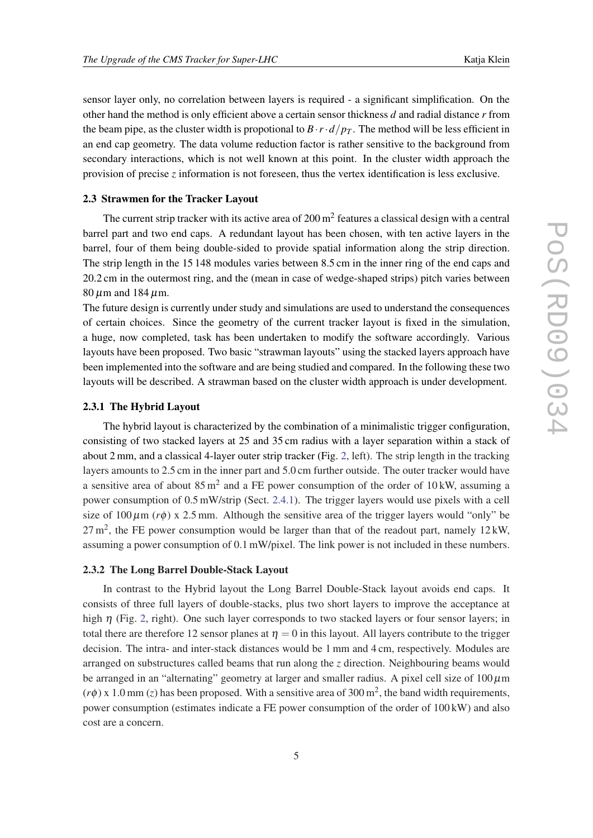sensor layer only, no correlation between layers is required - a significant simplification. On the other hand the method is only efficient above a certain sensor thickness *d* and radial distance *r* from the beam pipe, as the cluster width is propotional to  $B \cdot r \cdot d/p_T$ . The method will be less efficient in an end cap geometry. The data volume reduction factor is rather sensitive to the background from secondary interactions, which is not well known at this point. In the cluster width approach the provision of precise *z* information is not foreseen, thus the vertex identification is less exclusive.

#### 2.3 Strawmen for the Tracker Layout

The current strip tracker with its active area of  $200 \text{ m}^2$  features a classical design with a central barrel part and two end caps. A redundant layout has been chosen, with ten active layers in the barrel, four of them being double-sided to provide spatial information along the strip direction. The strip length in the 15 148 modules varies between 8.5 cm in the inner ring of the end caps and 20.2 cm in the outermost ring, and the (mean in case of wedge-shaped strips) pitch varies between  $80 \mu m$  and 184  $\mu$ m.

The future design is currently under study and simulations are used to understand the consequences of certain choices. Since the geometry of the current tracker layout is fixed in the simulation, a huge, now completed, task has been undertaken to modify the software accordingly. Various layouts have been proposed. Two basic "strawman layouts" using the stacked layers approach have been implemented into the software and are being studied and compared. In the following these two layouts will be described. A strawman based on the cluster width approach is under development.

#### 2.3.1 The Hybrid Layout

The hybrid layout is characterized by the combination of a minimalistic trigger configuration, consisting of two stacked layers at 25 and 35 cm radius with a layer separation within a stack of about 2 mm, and a classical 4-layer outer strip tracker (Fig. [2,](#page-5-0) left). The strip length in the tracking layers amounts to 2.5 cm in the inner part and 5.0 cm further outside. The outer tracker would have a sensitive area of about  $85 \text{ m}^2$  and a FE power consumption of the order of 10 kW, assuming a power consumption of 0.5 mW/strip (Sect. [2.4.1](#page-5-0)). The trigger layers would use pixels with a cell size of  $100 \mu$ m ( $r\phi$ ) x 2.5 mm. Although the sensitive area of the trigger layers would "only" be  $27 \text{ m}^2$ , the FE power consumption would be larger than that of the readout part, namely  $12 \text{ kW}$ , assuming a power consumption of 0.1 mW/pixel. The link power is not included in these numbers.

#### 2.3.2 The Long Barrel Double-Stack Layout

In contrast to the Hybrid layout the Long Barrel Double-Stack layout avoids end caps. It consists of three full layers of double-stacks, plus two short layers to improve the acceptance at high  $\eta$  (Fig. [2](#page-5-0), right). One such layer corresponds to two stacked layers or four sensor layers; in total there are therefore 12 sensor planes at  $\eta = 0$  in this layout. All layers contribute to the trigger decision. The intra- and inter-stack distances would be 1 mm and 4 cm, respectively. Modules are arranged on substructures called beams that run along the *z* direction. Neighbouring beams would be arranged in an "alternating" geometry at larger and smaller radius. A pixel cell size of  $100 \,\mu m$  $(r\phi)$  x 1.0 mm (*z*) has been proposed. With a sensitive area of 300 m<sup>2</sup>, the band width requirements, power consumption (estimates indicate a FE power consumption of the order of 100 kW) and also cost are a concern.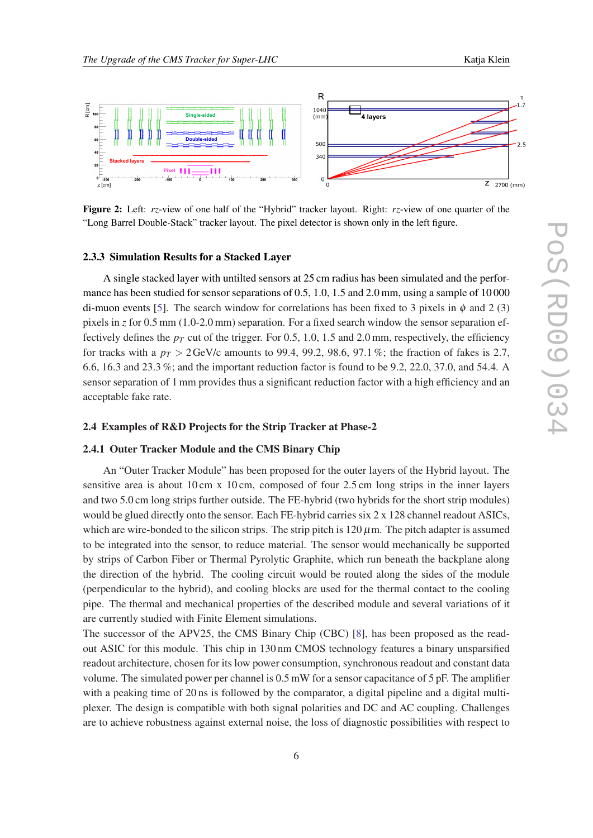• Two types of modules needed (some details later)

<span id="page-5-0"></span>

Figure 2: Left: *rz*-view of one half of the "Hybrid" tracker layout. Right: *rz*-view of one quarter of the "Long Barrel Double-Stack" tracker layout. The pixel detector is shown only in the left figure.

#### 2.3.3 Simulation Results for a Stacked Layer

A single stacked layer with untilted sensors at 25 cm radius has been simulated and the performance has been studied for sensor separations of 0.5, 1.0, 1.5 and 2.0 mm, using a sample of 10 000 di-muon events [[5](#page-7-0)]. The search window for correlations has been fixed to 3 pixels in  $\phi$  and 2 (3) pixels in *z* for 0.5 mm (1.0-2.0 mm) separation. For a fixed search window the sensor separation effectively defines the  $p_T$  cut of the trigger. For 0.5, 1.0, 1.5 and 2.0 mm, respectively, the efficiency for tracks with a  $p_T > 2$  GeV/c amounts to 99.4, 99.2, 98.6, 97.1 %; the fraction of fakes is 2.7, 6.6, 16.3 and 23.3 %; and the important reduction factor is found to be 9.2, 22.0, 37.0, and 54.4. A sensor separation of 1 mm provides thus a significant reduction factor with a high efficiency and an acceptable fake rate.

#### 2.4 Examples of R&D Projects for the Strip Tracker at Phase-2

#### 2.4.1 Outer Tracker Module and the CMS Binary Chip

An "Outer Tracker Module" has been proposed for the outer layers of the Hybrid layout. The sensitive area is about 10 cm x 10 cm, composed of four 2.5 cm long strips in the inner layers and two 5.0 cm long strips further outside. The FE-hybrid (two hybrids for the short strip modules) would be glued directly onto the sensor. Each FE-hybrid carries six 2 x 128 channel readout ASICs, which are wire-bonded to the silicon strips. The strip pitch is 120  $\mu$ m. The pitch adapter is assumed to be integrated into the sensor, to reduce material. The sensor would mechanically be supported by strips of Carbon Fiber or Thermal Pyrolytic Graphite, which run beneath the backplane along the direction of the hybrid. The cooling circuit would be routed along the sides of the module (perpendicular to the hybrid), and cooling blocks are used for the thermal contact to the cooling pipe. The thermal and mechanical properties of the described module and several variations of it are currently studied with Finite Element simulations.

The successor of the APV25, the CMS Binary Chip (CBC) [[8\]](#page-7-0), has been proposed as the readout ASIC for this module. This chip in 130 nm CMOS technology features a binary unsparsified readout architecture, chosen for its low power consumption, synchronous readout and constant data volume. The simulated power per channel is 0.5 mW for a sensor capacitance of 5 pF. The amplifier with a peaking time of 20 ns is followed by the comparator, a digital pipeline and a digital multiplexer. The design is compatible with both signal polarities and DC and AC coupling. Challenges are to achieve robustness against external noise, the loss of diagnostic possibilities with respect to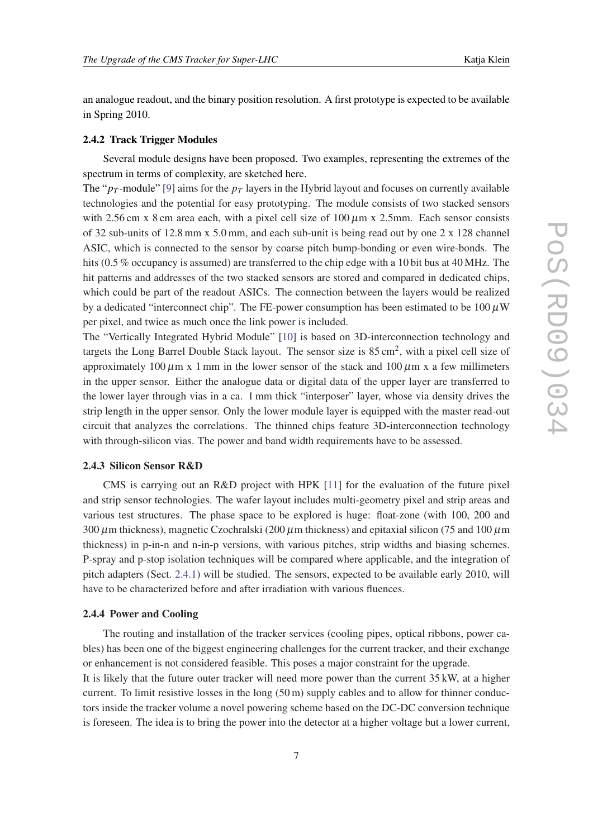an analogue readout, and the binary position resolution. A first prototype is expected to be available in Spring 2010.

#### 2.4.2 Track Trigger Modules

Several module designs have been proposed. Two examples, representing the extremes of the spectrum in terms of complexity, are sketched here.

The " $p_T$ -module" [[9](#page-7-0)] aims for the  $p_T$  layers in the Hybrid layout and focuses on currently available technologies and the potential for easy prototyping. The module consists of two stacked sensors with 2.56 cm x 8 cm area each, with a pixel cell size of  $100 \mu m$  x 2.5mm. Each sensor consists of 32 sub-units of 12.8 mm x 5.0 mm, and each sub-unit is being read out by one 2 x 128 channel ASIC, which is connected to the sensor by coarse pitch bump-bonding or even wire-bonds. The hits (0.5 % occupancy is assumed) are transferred to the chip edge with a 10 bit bus at 40 MHz. The hit patterns and addresses of the two stacked sensors are stored and compared in dedicated chips, which could be part of the readout ASICs. The connection between the layers would be realized by a dedicated "interconnect chip". The FE-power consumption has been estimated to be  $100 \mu W$ per pixel, and twice as much once the link power is included.

The "Vertically Integrated Hybrid Module" [\[10](#page-7-0)] is based on 3D-interconnection technology and targets the Long Barrel Double Stack layout. The sensor size is 85 cm<sup>2</sup>, with a pixel cell size of approximately 100  $\mu$ m x 1 mm in the lower sensor of the stack and 100  $\mu$ m x a few millimeters in the upper sensor. Either the analogue data or digital data of the upper layer are transferred to the lower layer through vias in a ca. 1 mm thick "interposer" layer, whose via density drives the strip length in the upper sensor. Only the lower module layer is equipped with the master read-out circuit that analyzes the correlations. The thinned chips feature 3D-interconnection technology with through-silicon vias. The power and band width requirements have to be assessed.

#### 2.4.3 Silicon Sensor R&D

CMS is carrying out an R&D project with HPK [[11\]](#page-7-0) for the evaluation of the future pixel and strip sensor technologies. The wafer layout includes multi-geometry pixel and strip areas and various test structures. The phase space to be explored is huge: float-zone (with 100, 200 and 300  $\mu$ m thickness), magnetic Czochralski (200  $\mu$ m thickness) and epitaxial silicon (75 and 100  $\mu$ m thickness) in p-in-n and n-in-p versions, with various pitches, strip widths and biasing schemes. P-spray and p-stop isolation techniques will be compared where applicable, and the integration of pitch adapters (Sect. [2.4.1\)](#page-5-0) will be studied. The sensors, expected to be available early 2010, will have to be characterized before and after irradiation with various fluences.

#### 2.4.4 Power and Cooling

The routing and installation of the tracker services (cooling pipes, optical ribbons, power cables) has been one of the biggest engineering challenges for the current tracker, and their exchange or enhancement is not considered feasible. This poses a major constraint for the upgrade. It is likely that the future outer tracker will need more power than the current 35 kW, at a higher current. To limit resistive losses in the long (50 m) supply cables and to allow for thinner conductors inside the tracker volume a novel powering scheme based on the DC-DC conversion technique is foreseen. The idea is to bring the power into the detector at a higher voltage but a lower current,